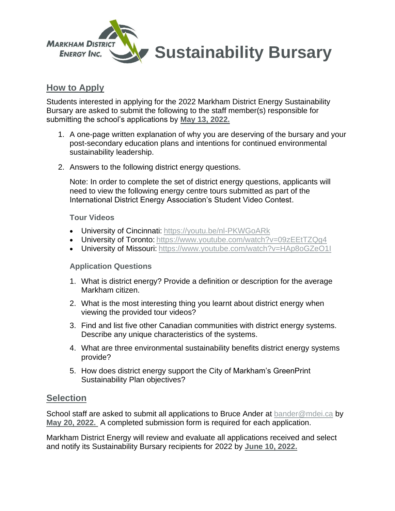

## **How to Apply**

Students interested in applying for the 2022 Markham District Energy Sustainability Bursary are asked to submit the following to the staff member(s) responsible for submitting the school's applications by **May 13, 2022.**

- 1. A one-page written explanation of why you are deserving of the bursary and your post-secondary education plans and intentions for continued environmental sustainability leadership.
- 2. Answers to the following district energy questions.

Note: In order to complete the set of district energy questions, applicants will need to view the following energy centre tours submitted as part of the International District Energy Association's Student Video Contest.

### **Tour Videos**

- University of Cincinnati: <https://youtu.be/nl-PKWGoARk>
- University of Toronto: https://www.youtube.com/watch?v=09zEEtTZQq4
- University of Missouri: <https://www.youtube.com/watch?v=HAp8oGZeO1I>

### **Application Questions**

- 1. What is district energy? Provide a definition or description for the average Markham citizen.
- 2. What is the most interesting thing you learnt about district energy when viewing the provided tour videos?
- 3. Find and list five other Canadian communities with district energy systems. Describe any unique characteristics of the systems.
- 4. What are three environmental sustainability benefits district energy systems provide?
- 5. How does district energy support the City of Markham's GreenPrint Sustainability Plan objectives?

### **Selection**

School staff are asked to submit all applications to Bruce Ander at [bander@mdei.ca](mailto:eetcher@mdei.ca) by **May 20, 2022.** A completed submission form is required for each application.

Markham District Energy will review and evaluate all applications received and select and notify its Sustainability Bursary recipients for 2022 by **June 10, 2022.**